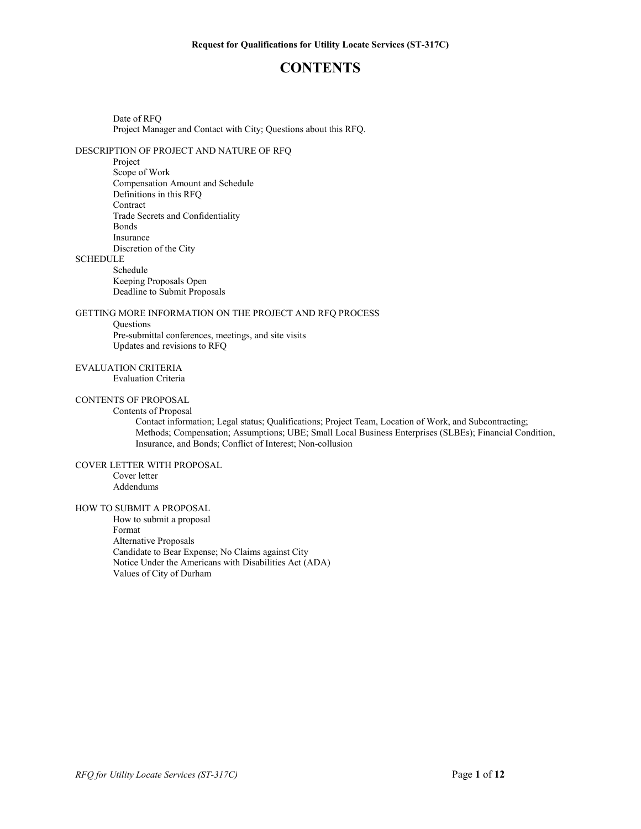## **CONTENTS**

Date of RFQ Project Manager and Contact with City; Questions about this RFQ.

## DESCRIPTION OF PROJECT AND NATURE OF RFQ

Project

Scope of Work Compensation Amount and Schedule Definitions in this RFQ **Contract** Trade Secrets and Confidentiality Bonds Insurance Discretion of the City

# **SCHEDULE**

Schedule

Keeping Proposals Open Deadline to Submit Proposals

#### GETTING MORE INFORMATION ON THE PROJECT AND RFQ PROCESS

#### **Questions**

Pre-submittal conferences, meetings, and site visits Updates and revisions to RFQ

#### EVALUATION CRITERIA

Evaluation Criteria

#### CONTENTS OF PROPOSAL

#### Contents of Proposal

Contact information; Legal status; Qualifications; Project Team, Location of Work, and Subcontracting; Methods; Compensation; Assumptions; UBE; Small Local Business Enterprises (SLBEs); Financial Condition, Insurance, and Bonds; Conflict of Interest; Non-collusion

#### COVER LETTER WITH PROPOSAL

Cover letter Addendums

#### HOW TO SUBMIT A PROPOSAL

How to submit a proposal Format Alternative Proposals Candidate to Bear Expense; No Claims against City Notice Under the Americans with Disabilities Act (ADA) Values of City of Durham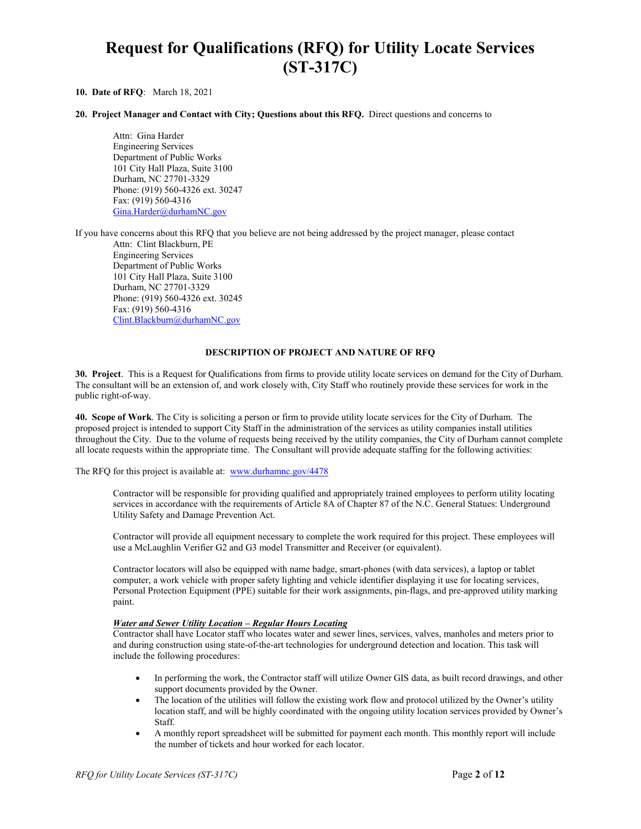# **Request for Qualifications (RFQ) for Utility Locate Services (ST-317C)**

#### **10. Date of RFQ**: March 18, 2021

#### **20. Project Manager and Contact with City; Questions about this RFQ.** Direct questions and concerns to

Attn: Gina Harder Engineering Services Department of Public Works 101 City Hall Plaza, Suite 3100 Durham, NC 27701-3329 Phone: (919) 560-4326 ext. 30247 Fax: (919) 560-4316 [Gina.Harder@durhamNC.gov](mailto:Gina.Harder@durhamNC.gov)

If you have concerns about this RFQ that you believe are not being addressed by the project manager, please contact

Attn: Clint Blackburn, PE Engineering Services Department of Public Works 101 City Hall Plaza, Suite 3100 Durham, NC 27701-3329 Phone: (919) 560-4326 ext. 30245 Fax: (919) 560-4316 [Clint.Blackburn@durhamNC.gov](mailto:Ed.Venable@DurhamNC.gov)

#### **DESCRIPTION OF PROJECT AND NATURE OF RFQ**

**30. Project**. This is a Request for Qualifications from firms to provide utility locate services on demand for the City of Durham. The consultant will be an extension of, and work closely with, City Staff who routinely provide these services for work in the public right-of-way.

**40. Scope of Work**. The City is soliciting a person or firm to provide utility locate services for the City of Durham. The proposed project is intended to support City Staff in the administration of the services as utility companies install utilities throughout the City. Due to the volume of requests being received by the utility companies, the City of Durham cannot complete all locate requests within the appropriate time. The Consultant will provide adequate staffing for the following activities:

The RFQ for this project is available at: [www.durhamnc.gov/4478](http://www.durhamnc.gov/4478)

Contractor will be responsible for providing qualified and appropriately trained employees to perform utility locating services in accordance with the requirements of Article 8A of Chapter 87 of the N.C. General Statues: Underground Utility Safety and Damage Prevention Act.

Contractor will provide all equipment necessary to complete the work required for this project. These employees will use a McLaughlin Verifier G2 and G3 model Transmitter and Receiver (or equivalent).

Contractor locators will also be equipped with name badge, smart-phones (with data services), a laptop or tablet computer, a work vehicle with proper safety lighting and vehicle identifier displaying it use for locating services, Personal Protection Equipment (PPE) suitable for their work assignments, pin-flags, and pre-approved utility marking paint.

#### *Water and Sewer Utility Location – Regular Hours Locating*

Contractor shall have Locator staff who locates water and sewer lines, services, valves, manholes and meters prior to and during construction using state-of-the-art technologies for underground detection and location. This task will include the following procedures:

- In performing the work, the Contractor staff will utilize Owner GIS data, as built record drawings, and other support documents provided by the Owner.
- The location of the utilities will follow the existing work flow and protocol utilized by the Owner's utility location staff, and will be highly coordinated with the ongoing utility location services provided by Owner's Staff.
- A monthly report spreadsheet will be submitted for payment each month. This monthly report will include the number of tickets and hour worked for each locator.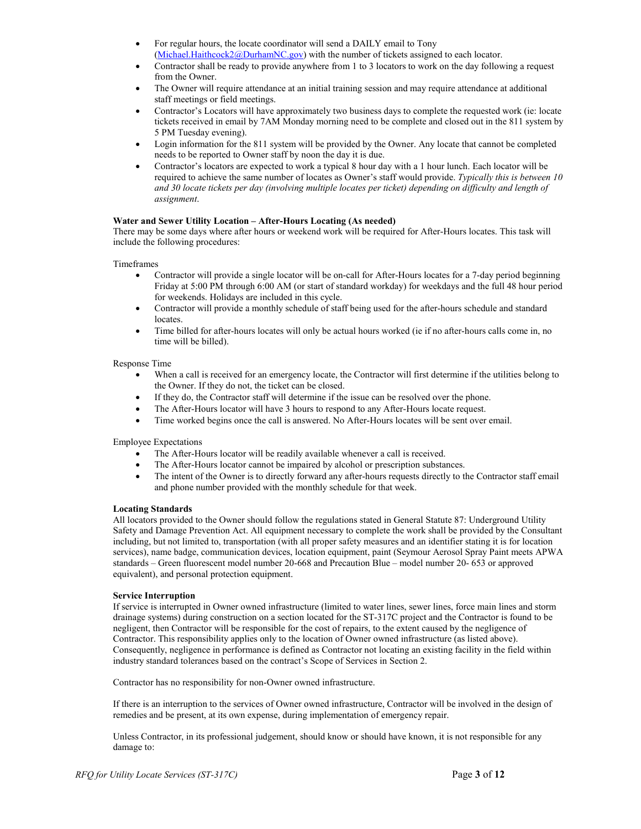- For regular hours, the locate coordinator will send a DAILY email to Tony [\(Michael.Haithcock2@DurhamNC.gov\)](mailto:Michael.Haithcock2@DurhamNC.gov) with the number of tickets assigned to each locator.
- Contractor shall be ready to provide anywhere from 1 to 3 locators to work on the day following a request from the Owner.
- The Owner will require attendance at an initial training session and may require attendance at additional staff meetings or field meetings.
- Contractor's Locators will have approximately two business days to complete the requested work (ie: locate tickets received in email by 7AM Monday morning need to be complete and closed out in the 811 system by 5 PM Tuesday evening).
- Login information for the 811 system will be provided by the Owner. Any locate that cannot be completed needs to be reported to Owner staff by noon the day it is due.
- Contractor's locators are expected to work a typical 8 hour day with a 1 hour lunch. Each locator will be required to achieve the same number of locates as Owner's staff would provide. *Typically this is between 10 and 30 locate tickets per day (involving multiple locates per ticket) depending on difficulty and length of assignment*.

#### **Water and Sewer Utility Location – After-Hours Locating (As needed)**

There may be some days where after hours or weekend work will be required for After-Hours locates. This task will include the following procedures:

#### Timeframes

- Contractor will provide a single locator will be on-call for After-Hours locates for a 7-day period beginning Friday at 5:00 PM through 6:00 AM (or start of standard workday) for weekdays and the full 48 hour period for weekends. Holidays are included in this cycle.
- Contractor will provide a monthly schedule of staff being used for the after-hours schedule and standard locates.
- Time billed for after-hours locates will only be actual hours worked (ie if no after-hours calls come in, no time will be billed).

#### Response Time

- When a call is received for an emergency locate, the Contractor will first determine if the utilities belong to the Owner. If they do not, the ticket can be closed.
- If they do, the Contractor staff will determine if the issue can be resolved over the phone.
- The After-Hours locator will have 3 hours to respond to any After-Hours locate request.
- Time worked begins once the call is answered. No After-Hours locates will be sent over email.

Employee Expectations

- The After-Hours locator will be readily available whenever a call is received.
- The After-Hours locator cannot be impaired by alcohol or prescription substances.
- The intent of the Owner is to directly forward any after-hours requests directly to the Contractor staff email and phone number provided with the monthly schedule for that week.

#### **Locating Standards**

All locators provided to the Owner should follow the regulations stated in General Statute 87: Underground Utility Safety and Damage Prevention Act. All equipment necessary to complete the work shall be provided by the Consultant including, but not limited to, transportation (with all proper safety measures and an identifier stating it is for location services), name badge, communication devices, location equipment, paint (Seymour Aerosol Spray Paint meets APWA standards – Green fluorescent model number 20-668 and Precaution Blue – model number 20- 653 or approved equivalent), and personal protection equipment.

#### **Service Interruption**

If service is interrupted in Owner owned infrastructure (limited to water lines, sewer lines, force main lines and storm drainage systems) during construction on a section located for the ST-317C project and the Contractor is found to be negligent, then Contractor will be responsible for the cost of repairs, to the extent caused by the negligence of Contractor. This responsibility applies only to the location of Owner owned infrastructure (as listed above). Consequently, negligence in performance is defined as Contractor not locating an existing facility in the field within industry standard tolerances based on the contract's Scope of Services in Section 2.

Contractor has no responsibility for non-Owner owned infrastructure.

If there is an interruption to the services of Owner owned infrastructure, Contractor will be involved in the design of remedies and be present, at its own expense, during implementation of emergency repair.

Unless Contractor, in its professional judgement, should know or should have known, it is not responsible for any damage to: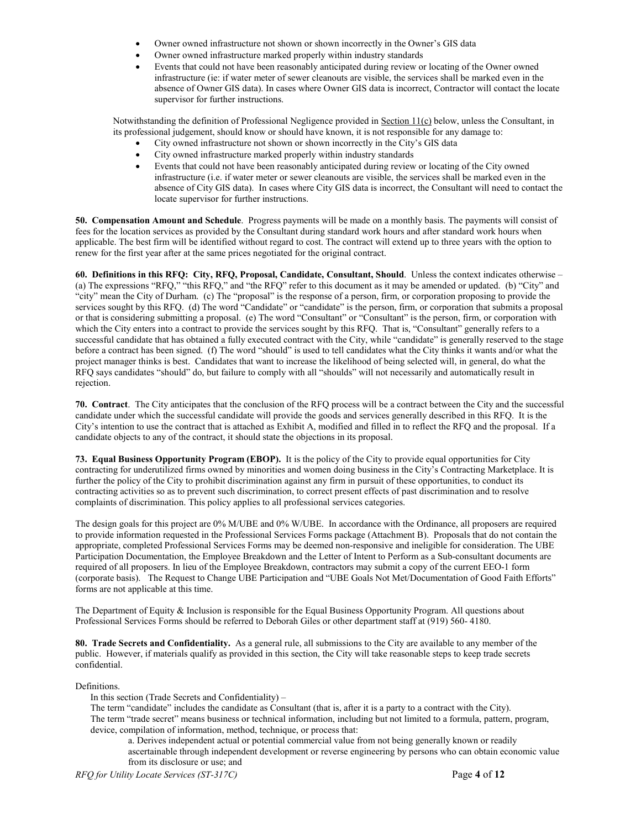- Owner owned infrastructure not shown or shown incorrectly in the Owner's GIS data
- Owner owned infrastructure marked properly within industry standards
- Events that could not have been reasonably anticipated during review or locating of the Owner owned infrastructure (ie: if water meter of sewer cleanouts are visible, the services shall be marked even in the absence of Owner GIS data). In cases where Owner GIS data is incorrect, Contractor will contact the locate supervisor for further instructions.

Notwithstanding the definition of Professional Negligence provided in Section 11(c) below, unless the Consultant, in its professional judgement, should know or should have known, it is not responsible for any damage to:

- City owned infrastructure not shown or shown incorrectly in the City's GIS data
- City owned infrastructure marked properly within industry standards
- Events that could not have been reasonably anticipated during review or locating of the City owned infrastructure (i.e. if water meter or sewer cleanouts are visible, the services shall be marked even in the absence of City GIS data). In cases where City GIS data is incorrect, the Consultant will need to contact the locate supervisor for further instructions.

**50. Compensation Amount and Schedule**. Progress payments will be made on a monthly basis. The payments will consist of fees for the location services as provided by the Consultant during standard work hours and after standard work hours when applicable. The best firm will be identified without regard to cost. The contract will extend up to three years with the option to renew for the first year after at the same prices negotiated for the original contract.

**60. Definitions in this RFQ: City, RFQ, Proposal, Candidate, Consultant, Should**. Unless the context indicates otherwise – (a) The expressions "RFQ," "this RFQ," and "the RFQ" refer to this document as it may be amended or updated. (b) "City" and "city" mean the City of Durham. (c) The "proposal" is the response of a person, firm, or corporation proposing to provide the services sought by this RFQ. (d) The word "Candidate" or "candidate" is the person, firm, or corporation that submits a proposal or that is considering submitting a proposal. (e) The word "Consultant" or "Consultant" is the person, firm, or corporation with which the City enters into a contract to provide the services sought by this RFQ. That is, "Consultant" generally refers to a successful candidate that has obtained a fully executed contract with the City, while "candidate" is generally reserved to the stage before a contract has been signed. (f) The word "should" is used to tell candidates what the City thinks it wants and/or what the project manager thinks is best. Candidates that want to increase the likelihood of being selected will, in general, do what the RFQ says candidates "should" do, but failure to comply with all "shoulds" will not necessarily and automatically result in rejection.

**70. Contract**. The City anticipates that the conclusion of the RFQ process will be a contract between the City and the successful candidate under which the successful candidate will provide the goods and services generally described in this RFQ. It is the City's intention to use the contract that is attached as Exhibit A, modified and filled in to reflect the RFQ and the proposal. If a candidate objects to any of the contract, it should state the objections in its proposal.

**73. Equal Business Opportunity Program (EBOP).** It is the policy of the City to provide equal opportunities for City contracting for underutilized firms owned by minorities and women doing business in the City's Contracting Marketplace. It is further the policy of the City to prohibit discrimination against any firm in pursuit of these opportunities, to conduct its contracting activities so as to prevent such discrimination, to correct present effects of past discrimination and to resolve complaints of discrimination. This policy applies to all professional services categories.

The design goals for this project are 0% M/UBE and 0% W/UBE. In accordance with the Ordinance, all proposers are required to provide information requested in the Professional Services Forms package (Attachment B). Proposals that do not contain the appropriate, completed Professional Services Forms may be deemed non-responsive and ineligible for consideration. The UBE Participation Documentation, the Employee Breakdown and the Letter of Intent to Perform as a Sub-consultant documents are required of all proposers. In lieu of the Employee Breakdown, contractors may submit a copy of the current EEO-1 form (corporate basis). The Request to Change UBE Participation and "UBE Goals Not Met/Documentation of Good Faith Efforts" forms are not applicable at this time.

The Department of Equity & Inclusion is responsible for the Equal Business Opportunity Program. All questions about Professional Services Forms should be referred to Deborah Giles or other department staff at (919) 560- 4180.

**80. Trade Secrets and Confidentiality.** As a general rule, all submissions to the City are available to any member of the public. However, if materials qualify as provided in this section, the City will take reasonable steps to keep trade secrets confidential.

Definitions.

In this section (Trade Secrets and Confidentiality) –

The term "candidate" includes the candidate as Consultant (that is, after it is a party to a contract with the City). The term "trade secret" means business or technical information, including but not limited to a formula, pattern, program, device, compilation of information, method, technique, or process that:

a. Derives independent actual or potential commercial value from not being generally known or readily ascertainable through independent development or reverse engineering by persons who can obtain economic value from its disclosure or use; and

*RFQ for Utility Locate Services (ST-317C)* Page **4** of **12**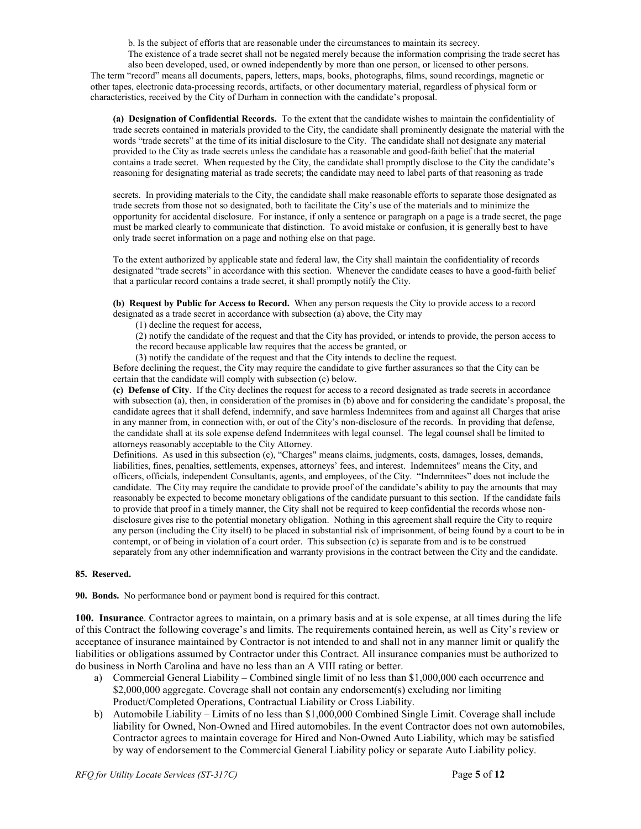b. Is the subject of efforts that are reasonable under the circumstances to maintain its secrecy.

The existence of a trade secret shall not be negated merely because the information comprising the trade secret has also been developed, used, or owned independently by more than one person, or licensed to other persons. The term "record" means all documents, papers, letters, maps, books, photographs, films, sound recordings, magnetic or other tapes, electronic data-processing records, artifacts, or other documentary material, regardless of physical form or characteristics, received by the City of Durham in connection with the candidate's proposal.

**(a) Designation of Confidential Records.** To the extent that the candidate wishes to maintain the confidentiality of trade secrets contained in materials provided to the City, the candidate shall prominently designate the material with the words "trade secrets" at the time of its initial disclosure to the City. The candidate shall not designate any material provided to the City as trade secrets unless the candidate has a reasonable and good-faith belief that the material contains a trade secret. When requested by the City, the candidate shall promptly disclose to the City the candidate's reasoning for designating material as trade secrets; the candidate may need to label parts of that reasoning as trade

secrets. In providing materials to the City, the candidate shall make reasonable efforts to separate those designated as trade secrets from those not so designated, both to facilitate the City's use of the materials and to minimize the opportunity for accidental disclosure. For instance, if only a sentence or paragraph on a page is a trade secret, the page must be marked clearly to communicate that distinction. To avoid mistake or confusion, it is generally best to have only trade secret information on a page and nothing else on that page.

To the extent authorized by applicable state and federal law, the City shall maintain the confidentiality of records designated "trade secrets" in accordance with this section. Whenever the candidate ceases to have a good-faith belief that a particular record contains a trade secret, it shall promptly notify the City.

**(b) Request by Public for Access to Record.** When any person requests the City to provide access to a record designated as a trade secret in accordance with subsection (a) above, the City may

(1) decline the request for access,

(2) notify the candidate of the request and that the City has provided, or intends to provide, the person access to

the record because applicable law requires that the access be granted, or

(3) notify the candidate of the request and that the City intends to decline the request.

Before declining the request, the City may require the candidate to give further assurances so that the City can be certain that the candidate will comply with subsection (c) below.

**(c) Defense of City**. If the City declines the request for access to a record designated as trade secrets in accordance with subsection (a), then, in consideration of the promises in (b) above and for considering the candidate's proposal, the candidate agrees that it shall defend, indemnify, and save harmless Indemnitees from and against all Charges that arise in any manner from, in connection with, or out of the City's non-disclosure of the records. In providing that defense, the candidate shall at its sole expense defend Indemnitees with legal counsel. The legal counsel shall be limited to attorneys reasonably acceptable to the City Attorney.

Definitions. As used in this subsection (c), "Charges" means claims, judgments, costs, damages, losses, demands, liabilities, fines, penalties, settlements, expenses, attorneys' fees, and interest. Indemnitees" means the City, and officers, officials, independent Consultants, agents, and employees, of the City. "Indemnitees" does not include the candidate. The City may require the candidate to provide proof of the candidate's ability to pay the amounts that may reasonably be expected to become monetary obligations of the candidate pursuant to this section. If the candidate fails to provide that proof in a timely manner, the City shall not be required to keep confidential the records whose nondisclosure gives rise to the potential monetary obligation. Nothing in this agreement shall require the City to require any person (including the City itself) to be placed in substantial risk of imprisonment, of being found by a court to be in contempt, or of being in violation of a court order. This subsection (c) is separate from and is to be construed separately from any other indemnification and warranty provisions in the contract between the City and the candidate.

#### **85. Reserved.**

**90. Bonds.** No performance bond or payment bond is required for this contract.

**100. Insurance**. Contractor agrees to maintain, on a primary basis and at is sole expense, at all times during the life of this Contract the following coverage's and limits. The requirements contained herein, as well as City's review or acceptance of insurance maintained by Contractor is not intended to and shall not in any manner limit or qualify the liabilities or obligations assumed by Contractor under this Contract. All insurance companies must be authorized to do business in North Carolina and have no less than an A VIII rating or better.

- a) Commercial General Liability Combined single limit of no less than \$1,000,000 each occurrence and \$2,000,000 aggregate. Coverage shall not contain any endorsement(s) excluding nor limiting Product/Completed Operations, Contractual Liability or Cross Liability.
- b) Automobile Liability Limits of no less than \$1,000,000 Combined Single Limit. Coverage shall include liability for Owned, Non-Owned and Hired automobiles. In the event Contractor does not own automobiles, Contractor agrees to maintain coverage for Hired and Non-Owned Auto Liability, which may be satisfied by way of endorsement to the Commercial General Liability policy or separate Auto Liability policy.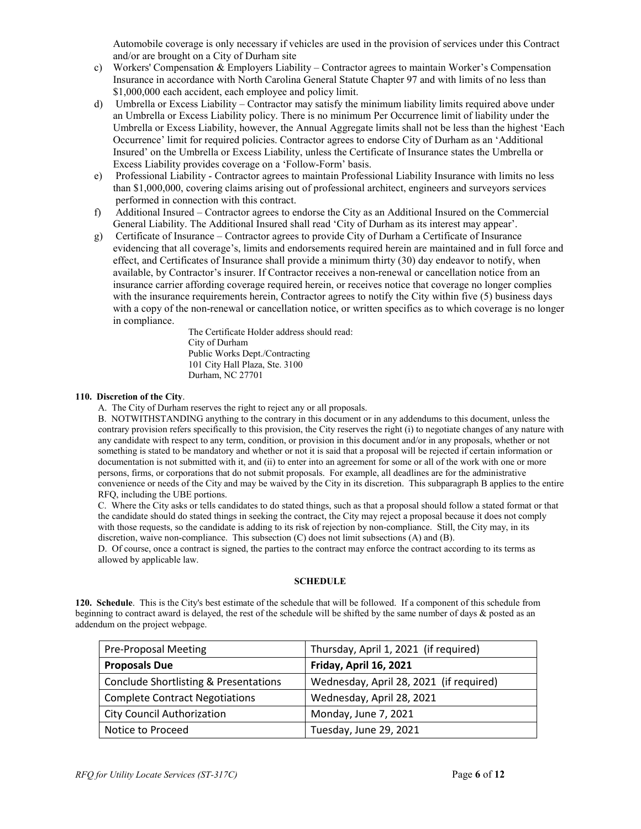Automobile coverage is only necessary if vehicles are used in the provision of services under this Contract and/or are brought on a City of Durham site

- c) Workers' Compensation & Employers Liability Contractor agrees to maintain Worker's Compensation Insurance in accordance with North Carolina General Statute Chapter 97 and with limits of no less than \$1,000,000 each accident, each employee and policy limit.
- d) Umbrella or Excess Liability Contractor may satisfy the minimum liability limits required above under an Umbrella or Excess Liability policy. There is no minimum Per Occurrence limit of liability under the Umbrella or Excess Liability, however, the Annual Aggregate limits shall not be less than the highest 'Each Occurrence' limit for required policies. Contractor agrees to endorse City of Durham as an 'Additional Insured' on the Umbrella or Excess Liability, unless the Certificate of Insurance states the Umbrella or Excess Liability provides coverage on a 'Follow-Form' basis.
- e) Professional Liability Contractor agrees to maintain Professional Liability Insurance with limits no less than \$1,000,000, covering claims arising out of professional architect, engineers and surveyors services performed in connection with this contract.
- f) Additional Insured Contractor agrees to endorse the City as an Additional Insured on the Commercial General Liability. The Additional Insured shall read 'City of Durham as its interest may appear'.
- g) Certificate of Insurance Contractor agrees to provide City of Durham a Certificate of Insurance evidencing that all coverage's, limits and endorsements required herein are maintained and in full force and effect, and Certificates of Insurance shall provide a minimum thirty (30) day endeavor to notify, when available, by Contractor's insurer. If Contractor receives a non-renewal or cancellation notice from an insurance carrier affording coverage required herein, or receives notice that coverage no longer complies with the insurance requirements herein, Contractor agrees to notify the City within five (5) business days with a copy of the non-renewal or cancellation notice, or written specifics as to which coverage is no longer in compliance.

The Certificate Holder address should read: City of Durham Public Works Dept./Contracting 101 City Hall Plaza, Ste. 3100 Durham, NC 27701

#### **110. Discretion of the City**.

A. The City of Durham reserves the right to reject any or all proposals.

B. NOTWITHSTANDING anything to the contrary in this document or in any addendums to this document, unless the contrary provision refers specifically to this provision, the City reserves the right (i) to negotiate changes of any nature with any candidate with respect to any term, condition, or provision in this document and/or in any proposals, whether or not something is stated to be mandatory and whether or not it is said that a proposal will be rejected if certain information or documentation is not submitted with it, and (ii) to enter into an agreement for some or all of the work with one or more persons, firms, or corporations that do not submit proposals. For example, all deadlines are for the administrative convenience or needs of the City and may be waived by the City in its discretion. This subparagraph B applies to the entire RFQ, including the UBE portions.

C. Where the City asks or tells candidates to do stated things, such as that a proposal should follow a stated format or that the candidate should do stated things in seeking the contract, the City may reject a proposal because it does not comply with those requests, so the candidate is adding to its risk of rejection by non-compliance. Still, the City may, in its discretion, waive non-compliance. This subsection (C) does not limit subsections (A) and (B).

D. Of course, once a contract is signed, the parties to the contract may enforce the contract according to its terms as allowed by applicable law.

#### **SCHEDULE**

**120. Schedule**. This is the City's best estimate of the schedule that will be followed. If a component of this schedule from beginning to contract award is delayed, the rest of the schedule will be shifted by the same number of days & posted as an addendum on the project webpage.

| <b>Pre-Proposal Meeting</b>                      | Thursday, April 1, 2021 (if required)   |
|--------------------------------------------------|-----------------------------------------|
| <b>Proposals Due</b>                             | Friday, April 16, 2021                  |
| <b>Conclude Shortlisting &amp; Presentations</b> | Wednesday, April 28, 2021 (if required) |
| <b>Complete Contract Negotiations</b>            | Wednesday, April 28, 2021               |
| <b>City Council Authorization</b>                | Monday, June 7, 2021                    |
| Notice to Proceed                                | Tuesday, June 29, 2021                  |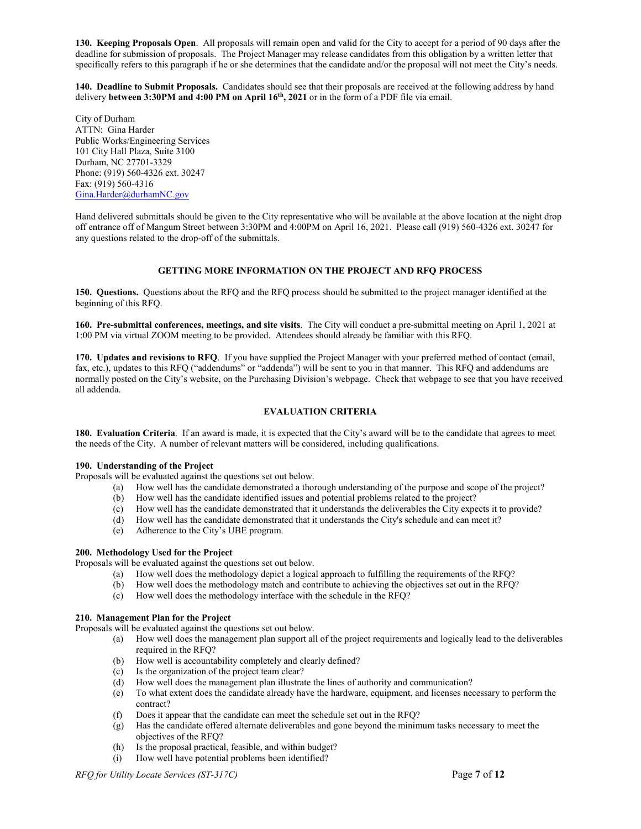**130. Keeping Proposals Open**. All proposals will remain open and valid for the City to accept for a period of 90 days after the deadline for submission of proposals. The Project Manager may release candidates from this obligation by a written letter that specifically refers to this paragraph if he or she determines that the candidate and/or the proposal will not meet the City's needs.

**140. Deadline to Submit Proposals.** Candidates should see that their proposals are received at the following address by hand delivery **between 3:30PM and 4:00 PM on April 16th, 2021** or in the form of a PDF file via email.

City of Durham ATTN: Gina Harder Public Works/Engineering Services 101 City Hall Plaza, Suite 3100 Durham, NC 27701-3329 Phone: (919) 560-4326 ext. 30247 Fax: (919) 560-4316 [Gina.Harder@durhamNC.gov](mailto:Gina.Harder@durhamNC.gov)

Hand delivered submittals should be given to the City representative who will be available at the above location at the night drop off entrance off of Mangum Street between 3:30PM and 4:00PM on April 16, 2021. Please call (919) 560-4326 ext. 30247 for any questions related to the drop-off of the submittals.

#### **GETTING MORE INFORMATION ON THE PROJECT AND RFQ PROCESS**

**150. Questions.** Questions about the RFQ and the RFQ process should be submitted to the project manager identified at the beginning of this RFQ.

**160. Pre-submittal conferences, meetings, and site visits**. The City will conduct a pre-submittal meeting on April 1, 2021 at 1:00 PM via virtual ZOOM meeting to be provided. Attendees should already be familiar with this RFQ.

**170. Updates and revisions to RFQ**. If you have supplied the Project Manager with your preferred method of contact (email, fax, etc.), updates to this RFQ ("addendums" or "addenda") will be sent to you in that manner. This RFQ and addendums are normally posted on the City's website, on the Purchasing Division's webpage. Check that webpage to see that you have received all addenda.

#### **EVALUATION CRITERIA**

**180. Evaluation Criteria**. If an award is made, it is expected that the City's award will be to the candidate that agrees to meet the needs of the City. A number of relevant matters will be considered, including qualifications.

#### **190. Understanding of the Project**

Proposals will be evaluated against the questions set out below.

- (a) How well has the candidate demonstrated a thorough understanding of the purpose and scope of the project?
- (b) How well has the candidate identified issues and potential problems related to the project?
- (c) How well has the candidate demonstrated that it understands the deliverables the City expects it to provide?
- (d) How well has the candidate demonstrated that it understands the City's schedule and can meet it?
- (e) Adherence to the City's UBE program.

#### **200. Methodology Used for the Project**

Proposals will be evaluated against the questions set out below.

- (a) How well does the methodology depict a logical approach to fulfilling the requirements of the RFQ?
- (b) How well does the methodology match and contribute to achieving the objectives set out in the RFQ?
- (c) How well does the methodology interface with the schedule in the RFQ?

#### **210. Management Plan for the Project**

Proposals will be evaluated against the questions set out below.

- (a) How well does the management plan support all of the project requirements and logically lead to the deliverables required in the RFQ?
- (b) How well is accountability completely and clearly defined?
- (c) Is the organization of the project team clear?
- (d) How well does the management plan illustrate the lines of authority and communication?
- (e) To what extent does the candidate already have the hardware, equipment, and licenses necessary to perform the contract?
- (f) Does it appear that the candidate can meet the schedule set out in the RFQ?
- (g) Has the candidate offered alternate deliverables and gone beyond the minimum tasks necessary to meet the objectives of the RFQ?
- (h) Is the proposal practical, feasible, and within budget?
- (i) How well have potential problems been identified?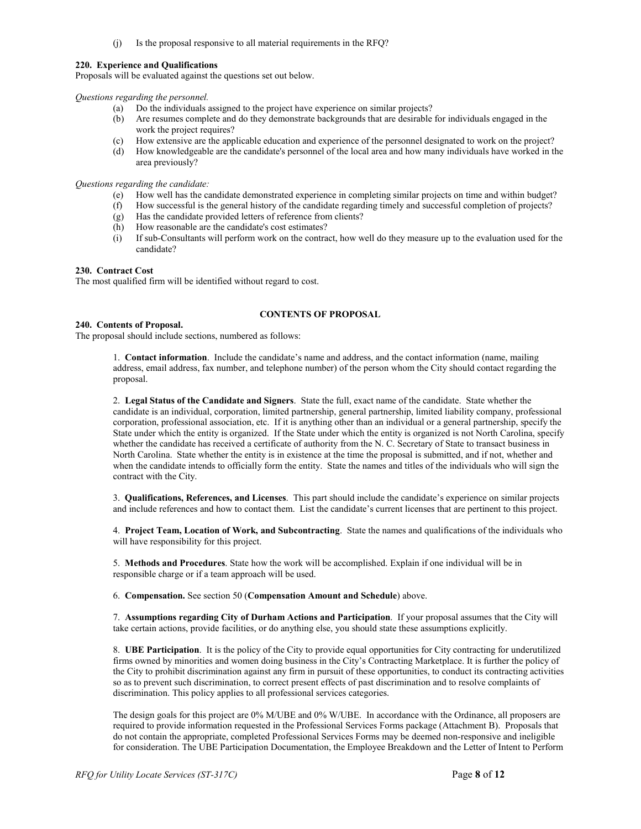(j) Is the proposal responsive to all material requirements in the RFQ?

#### **220. Experience and Qualifications**

Proposals will be evaluated against the questions set out below.

#### *Questions regarding the personnel.*

- (a) Do the individuals assigned to the project have experience on similar projects?
- (b) Are resumes complete and do they demonstrate backgrounds that are desirable for individuals engaged in the work the project requires?
- (c) How extensive are the applicable education and experience of the personnel designated to work on the project?
- (d) How knowledgeable are the candidate's personnel of the local area and how many individuals have worked in the area previously?

#### *Questions regarding the candidate:*

- (e) How well has the candidate demonstrated experience in completing similar projects on time and within budget?
- How successful is the general history of the candidate regarding timely and successful completion of projects?
- (g) Has the candidate provided letters of reference from clients?
- (h) How reasonable are the candidate's cost estimates?
- (i) If sub-Consultants will perform work on the contract, how well do they measure up to the evaluation used for the candidate?

#### **230. Contract Cost**

The most qualified firm will be identified without regard to cost.

#### **CONTENTS OF PROPOSAL**

#### **240. Contents of Proposal.**

The proposal should include sections, numbered as follows:

1. **Contact information**. Include the candidate's name and address, and the contact information (name, mailing address, email address, fax number, and telephone number) of the person whom the City should contact regarding the proposal.

2. **Legal Status of the Candidate and Signers**. State the full, exact name of the candidate. State whether the candidate is an individual, corporation, limited partnership, general partnership, limited liability company, professional corporation, professional association, etc. If it is anything other than an individual or a general partnership, specify the State under which the entity is organized. If the State under which the entity is organized is not North Carolina, specify whether the candidate has received a certificate of authority from the N. C. Secretary of State to transact business in North Carolina. State whether the entity is in existence at the time the proposal is submitted, and if not, whether and when the candidate intends to officially form the entity. State the names and titles of the individuals who will sign the contract with the City.

3. **Qualifications, References, and Licenses**. This part should include the candidate's experience on similar projects and include references and how to contact them. List the candidate's current licenses that are pertinent to this project.

4. **Project Team, Location of Work, and Subcontracting**. State the names and qualifications of the individuals who will have responsibility for this project.

5. **Methods and Procedures**. State how the work will be accomplished. Explain if one individual will be in responsible charge or if a team approach will be used.

6. **Compensation.** See section 50 (**Compensation Amount and Schedule**) above.

7. **Assumptions regarding City of Durham Actions and Participation**. If your proposal assumes that the City will take certain actions, provide facilities, or do anything else, you should state these assumptions explicitly.

8. **UBE Participation**. It is the policy of the City to provide equal opportunities for City contracting for underutilized firms owned by minorities and women doing business in the City's Contracting Marketplace. It is further the policy of the City to prohibit discrimination against any firm in pursuit of these opportunities, to conduct its contracting activities so as to prevent such discrimination, to correct present effects of past discrimination and to resolve complaints of discrimination. This policy applies to all professional services categories.

The design goals for this project are 0% M/UBE and 0% W/UBE. In accordance with the Ordinance, all proposers are required to provide information requested in the Professional Services Forms package (Attachment B). Proposals that do not contain the appropriate, completed Professional Services Forms may be deemed non-responsive and ineligible for consideration. The UBE Participation Documentation, the Employee Breakdown and the Letter of Intent to Perform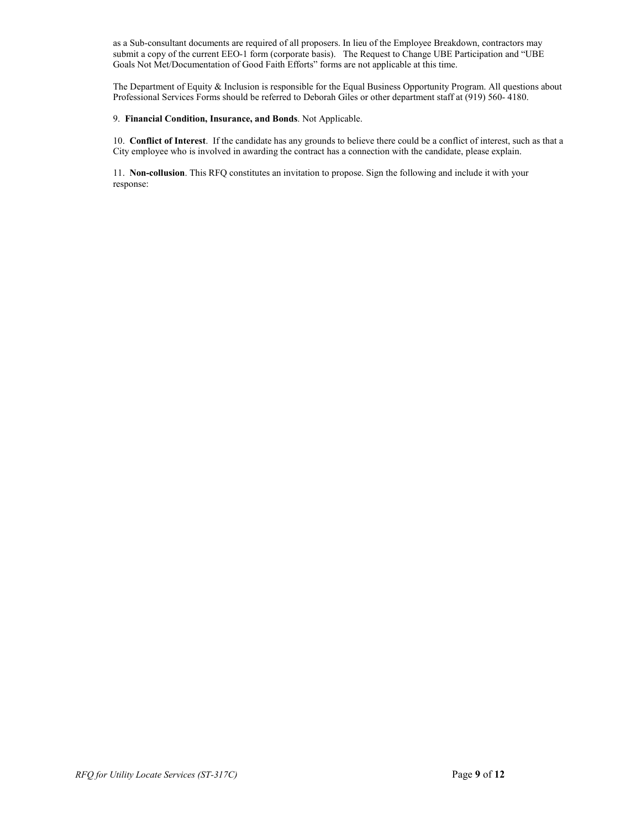as a Sub-consultant documents are required of all proposers. In lieu of the Employee Breakdown, contractors may submit a copy of the current EEO-1 form (corporate basis). The Request to Change UBE Participation and "UBE Goals Not Met/Documentation of Good Faith Efforts" forms are not applicable at this time.

The Department of Equity & Inclusion is responsible for the Equal Business Opportunity Program. All questions about Professional Services Forms should be referred to Deborah Giles or other department staff at (919) 560- 4180.

#### 9. **Financial Condition, Insurance, and Bonds**. Not Applicable.

10. **Conflict of Interest**. If the candidate has any grounds to believe there could be a conflict of interest, such as that a City employee who is involved in awarding the contract has a connection with the candidate, please explain.

11. **Non-collusion**. This RFQ constitutes an invitation to propose. Sign the following and include it with your response: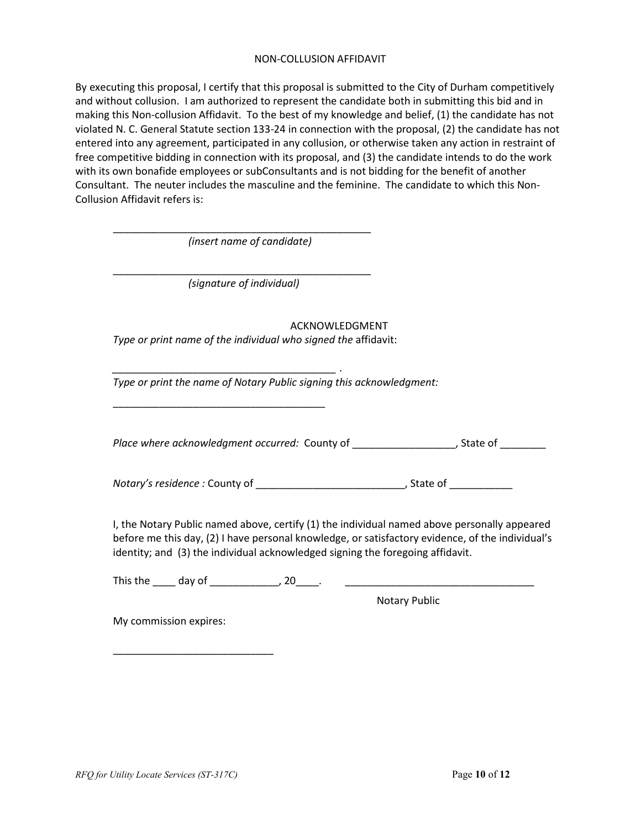## NON-COLLUSION AFFIDAVIT

By executing this proposal, I certify that this proposal is submitted to the City of Durham competitively and without collusion. I am authorized to represent the candidate both in submitting this bid and in making this Non-collusion Affidavit. To the best of my knowledge and belief, (1) the candidate has not violated N. C. General Statute section 133-24 in connection with the proposal, (2) the candidate has not entered into any agreement, participated in any collusion, or otherwise taken any action in restraint of free competitive bidding in connection with its proposal, and (3) the candidate intends to do the work with its own bonafide employees or subConsultants and is not bidding for the benefit of another Consultant. The neuter includes the masculine and the feminine. The candidate to which this Non-Collusion Affidavit refers is:

*(insert name of candidate)* \_\_\_\_\_\_\_\_\_\_\_\_\_\_\_\_\_\_\_\_\_\_\_\_\_\_\_\_\_\_\_\_\_\_\_\_\_\_\_\_\_\_\_\_\_ *(signature of individual)* ACKNOWLEDGMENT *Type or print name of the individual who signed the* affidavit: *\_\_\_\_\_\_\_\_\_\_\_\_\_\_\_\_\_\_\_\_\_\_\_\_\_\_\_\_\_\_\_\_\_\_\_\_\_\_\_* . *Type or print the name of Notary Public signing this acknowledgment:*  \_\_\_\_\_\_\_\_\_\_\_\_\_\_\_\_\_\_\_\_\_\_\_\_\_\_\_\_\_\_\_\_\_\_\_\_\_

\_\_\_\_\_\_\_\_\_\_\_\_\_\_\_\_\_\_\_\_\_\_\_\_\_\_\_\_\_\_\_\_\_\_\_\_\_\_\_\_\_\_\_\_\_

Place where acknowledgment occurred: County of \_\_\_\_\_\_\_\_\_\_\_\_\_\_\_\_\_\_\_, State of \_\_\_\_\_\_\_\_

*Notary's residence : County of \_\_\_\_\_\_\_\_\_\_\_\_\_\_\_\_\_\_\_\_\_\_\_\_\_\_\_\_, State of \_\_\_\_\_\_\_\_\_\_* 

I, the Notary Public named above, certify (1) the individual named above personally appeared before me this day, (2) I have personal knowledge, or satisfactory evidence, of the individual's identity; and (3) the individual acknowledged signing the foregoing affidavit.

This the \_\_\_\_ day of \_\_\_\_\_\_\_\_\_\_\_\_, 20\_\_\_\_. \_\_\_\_\_\_\_\_\_\_\_\_\_\_\_\_\_\_\_\_\_\_\_\_\_\_\_\_\_\_\_\_\_

Notary Public

My commission expires:

\_\_\_\_\_\_\_\_\_\_\_\_\_\_\_\_\_\_\_\_\_\_\_\_\_\_\_\_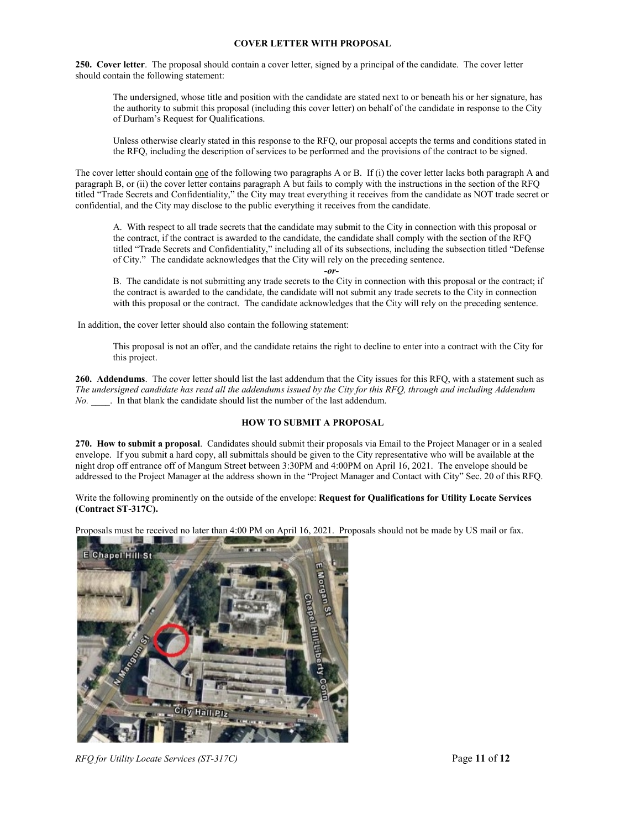#### **COVER LETTER WITH PROPOSAL**

**250. Cover letter**. The proposal should contain a cover letter, signed by a principal of the candidate. The cover letter should contain the following statement:

The undersigned, whose title and position with the candidate are stated next to or beneath his or her signature, has the authority to submit this proposal (including this cover letter) on behalf of the candidate in response to the City of Durham's Request for Qualifications.

Unless otherwise clearly stated in this response to the RFQ, our proposal accepts the terms and conditions stated in the RFQ, including the description of services to be performed and the provisions of the contract to be signed.

The cover letter should contain one of the following two paragraphs A or B. If (i) the cover letter lacks both paragraph A and paragraph B, or (ii) the cover letter contains paragraph A but fails to comply with the instructions in the section of the RFQ titled "Trade Secrets and Confidentiality," the City may treat everything it receives from the candidate as NOT trade secret or confidential, and the City may disclose to the public everything it receives from the candidate.

A. With respect to all trade secrets that the candidate may submit to the City in connection with this proposal or the contract, if the contract is awarded to the candidate, the candidate shall comply with the section of the RFQ titled "Trade Secrets and Confidentiality," including all of its subsections, including the subsection titled "Defense of City." The candidate acknowledges that the City will rely on the preceding sentence.

*-or-*

B. The candidate is not submitting any trade secrets to the City in connection with this proposal or the contract; if the contract is awarded to the candidate, the candidate will not submit any trade secrets to the City in connection with this proposal or the contract. The candidate acknowledges that the City will rely on the preceding sentence.

In addition, the cover letter should also contain the following statement:

This proposal is not an offer, and the candidate retains the right to decline to enter into a contract with the City for this project.

**260. Addendums**. The cover letter should list the last addendum that the City issues for this RFQ, with a statement such as *The undersigned candidate has read all the addendums issued by the City for this RFQ, through and including Addendum No.* **.** In that blank the candidate should list the number of the last addendum.

#### **HOW TO SUBMIT A PROPOSAL**

**270. How to submit a proposal**. Candidates should submit their proposals via Email to the Project Manager or in a sealed envelope. If you submit a hard copy, all submittals should be given to the City representative who will be available at the night drop off entrance off of Mangum Street between 3:30PM and 4:00PM on April 16, 2021. The envelope should be addressed to the Project Manager at the address shown in the "Project Manager and Contact with City" Sec. 20 of this RFQ.

Write the following prominently on the outside of the envelope: **Request for Qualifications for Utility Locate Services (Contract ST-317C).** 

Proposals must be received no later than 4:00 PM on April 16, 2021. Proposals should not be made by US mail or fax.



*RFQ for Utility Locate Services (ST-317C)* Page **11** of **12**